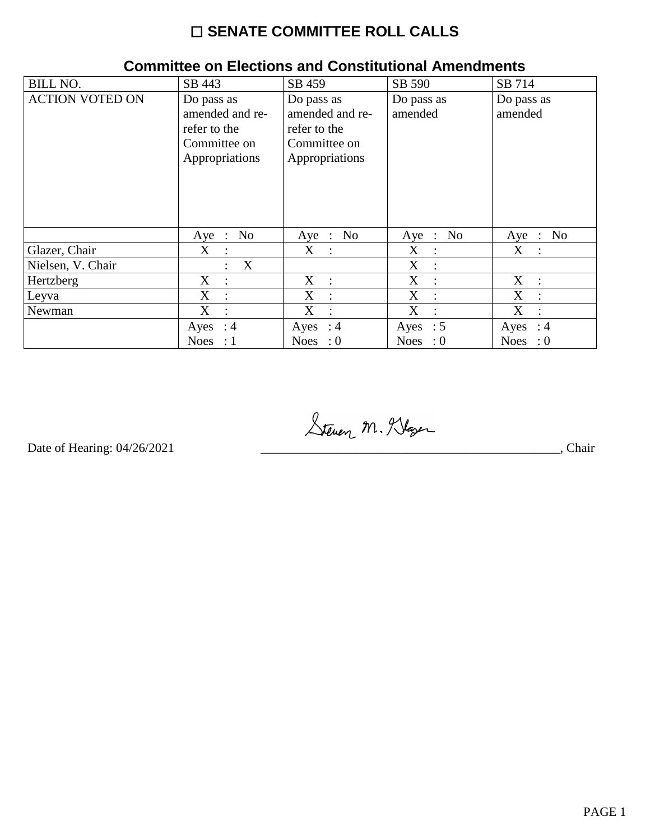## ☐ **SENATE COMMITTEE ROLL CALLS**

| <b>BILL NO.</b>        | SB 443                                                                          | SB 459                                                                          | SB 590                    | SB 714                        |
|------------------------|---------------------------------------------------------------------------------|---------------------------------------------------------------------------------|---------------------------|-------------------------------|
| <b>ACTION VOTED ON</b> | Do pass as<br>amended and re-<br>refer to the<br>Committee on<br>Appropriations | Do pass as<br>amended and re-<br>refer to the<br>Committee on<br>Appropriations | Do pass as<br>amended     | Do pass as<br>amended         |
|                        | No<br>$Aye$ :                                                                   | Aye : No                                                                        | Aye : No                  | Aye : No                      |
| Glazer, Chair          | X<br>$\ddot{\phantom{a}}$                                                       | X :                                                                             | X<br>$\cdot$ :            | $X$ :                         |
| Nielsen, V. Chair      | X                                                                               |                                                                                 | X<br>$\mathbb{R}^2$       |                               |
| Hertzberg              | $X_{\mathcal{I}}$<br>$\cdot$                                                    | X :                                                                             | $\mathbf{X}$<br>$\cdot$ : | X :                           |
| Leyva                  | X<br>$\cdot$                                                                    | X<br>$\cdot$                                                                    | X<br>$\cdot$ :            | X<br>$\cdot$                  |
| Newman                 | X<br>$\dot{\mathbb{I}}$                                                         | X<br>$\ddot{\cdot}$                                                             | X<br>$\cdot$ :            | X<br>÷                        |
|                        | Ayes : $4$                                                                      | Ayes : $4$                                                                      | Ayes : $5$                | Ayes : $4$                    |
|                        | <b>Noes</b><br>: 1                                                              | Noes : $0$                                                                      | Noes : $0$                | <b>Noes</b><br>$\therefore 0$ |

## **Committee on Elections and Constitutional Amendments**

Steven M. Klaser

Date of Hearing: 04/26/2021 \_\_\_\_\_\_\_\_\_\_\_\_\_\_\_\_\_\_\_\_\_\_\_\_\_\_\_\_\_\_\_\_\_\_\_\_\_\_\_\_\_\_\_\_\_\_\_, Chair

Date of Hearing: 04/26/2021